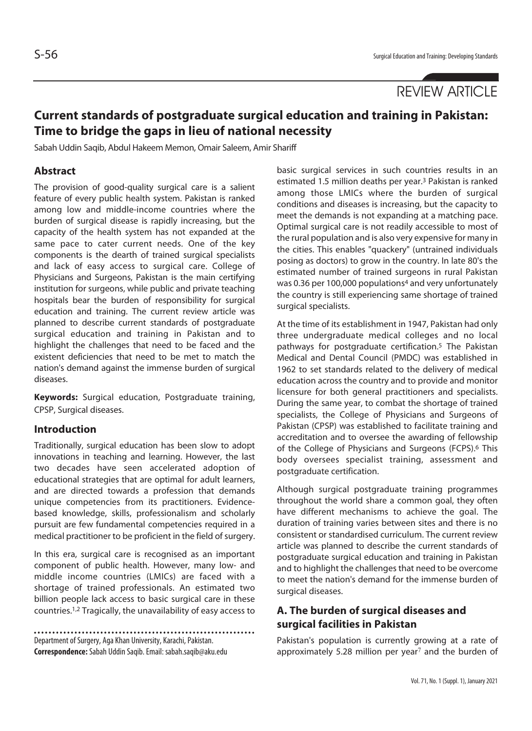# **REVIEW ARTICLE**

## **Current standards of postgraduate surgical education and training in Pakistan: Time to bridge the gaps in lieu of national necessity**

Sabah Uddin Saqib, Abdul Hakeem Memon, Omair Saleem, Amir Shariff

## **Abstract**

The provision of good-quality surgical care is a salient feature of every public health system. Pakistan is ranked among low and middle-income countries where the burden of surgical disease is rapidly increasing, but the capacity of the health system has not expanded at the same pace to cater current needs. One of the key components is the dearth of trained surgical specialists and lack of easy access to surgical care. College of Physicians and Surgeons, Pakistan is the main certifying institution for surgeons, while public and private teaching hospitals bear the burden of responsibility for surgical education and training. The current review article was planned to describe current standards of postgraduate surgical education and training in Pakistan and to highlight the challenges that need to be faced and the existent deficiencies that need to be met to match the nation's demand against the immense burden of surgical diseases.

**Keywords:** Surgical education, Postgraduate training, CPSP, Surgical diseases.

## **Introduction**

Traditionally, surgical education has been slow to adopt innovations in teaching and learning. However, the last two decades have seen accelerated adoption of educational strategies that are optimal for adult learners, and are directed towards a profession that demands unique competencies from its practitioners. Evidencebased knowledge, skills, professionalism and scholarly pursuit are few fundamental competencies required in a medical practitioner to be proficient in the field of surgery.

In this era, surgical care is recognised as an important component of public health. However, many low- and middle income countries (LMICs) are faced with a shortage of trained professionals. An estimated two billion people lack access to basic surgical care in these countries.1,2 Tragically, the unavailability of easy access to

Department of Surgery, Aga Khan University, Karachi, Pakistan. **Correspondence:** Sabah Uddin Saqib. Email: sabah.saqib@aku.edu basic surgical services in such countries results in an estimated 1.5 million deaths per year.3 Pakistan is ranked among those LMICs where the burden of surgical conditions and diseases is increasing, but the capacity to meet the demands is not expanding at a matching pace. Optimal surgical care is not readily accessible to most of the rural population and is also very expensive for many in the cities. This enables "quackery" (untrained individuals posing as doctors) to grow in the country. In late 80's the estimated number of trained surgeons in rural Pakistan was 0.36 per 100,000 populations4 and very unfortunately the country is still experiencing same shortage of trained surgical specialists.

At the time of its establishment in 1947, Pakistan had only three undergraduate medical colleges and no local pathways for postgraduate certification.5 The Pakistan Medical and Dental Council (PMDC) was established in 1962 to set standards related to the delivery of medical education across the country and to provide and monitor licensure for both general practitioners and specialists. During the same year, to combat the shortage of trained specialists, the College of Physicians and Surgeons of Pakistan (CPSP) was established to facilitate training and accreditation and to oversee the awarding of fellowship of the College of Physicians and Surgeons (FCPS).<sup>6</sup> This body oversees specialist training, assessment and postgraduate certification.

Although surgical postgraduate training programmes throughout the world share a common goal, they often have different mechanisms to achieve the goal. The duration of training varies between sites and there is no consistent or standardised curriculum. The current review article was planned to describe the current standards of postgraduate surgical education and training in Pakistan and to highlight the challenges that need to be overcome to meet the nation's demand for the immense burden of surgical diseases.

## **A. The burden of surgical diseases and surgical facilities in Pakistan**

Pakistan's population is currently growing at a rate of approximately 5.28 million per year<sup>7</sup> and the burden of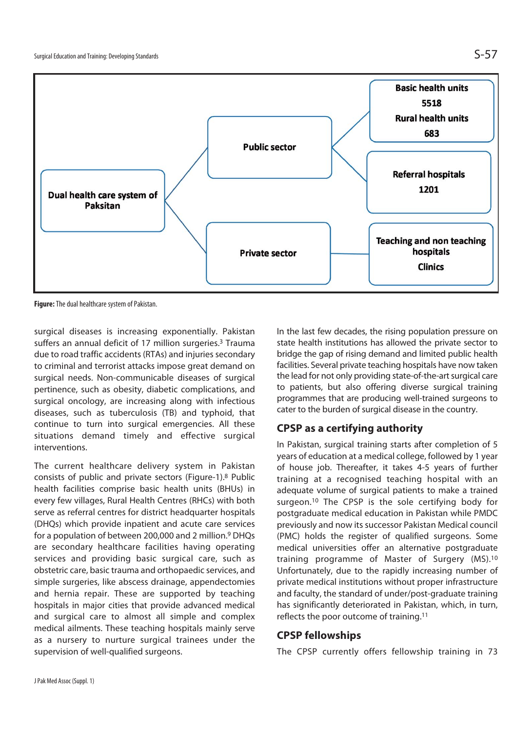

**Figure:** The dual healthcare system of Pakistan.

surgical diseases is increasing exponentially. Pakistan suffers an annual deficit of 17 million surgeries.<sup>3</sup> Trauma due to road traffic accidents (RTAs) and injuries secondary to criminal and terrorist attacks impose great demand on surgical needs. Non-communicable diseases of surgical pertinence, such as obesity, diabetic complications, and surgical oncology, are increasing along with infectious diseases, such as tuberculosis (TB) and typhoid, that continue to turn into surgical emergencies. All these situations demand timely and effective surgical interventions.

The current healthcare delivery system in Pakistan consists of public and private sectors (Figure-1).8 Public health facilities comprise basic health units (BHUs) in every few villages, Rural Health Centres (RHCs) with both serve as referral centres for district headquarter hospitals (DHQs) which provide inpatient and acute care services for a population of between 200,000 and 2 million.<sup>9</sup> DHQs are secondary healthcare facilities having operating services and providing basic surgical care, such as obstetric care, basic trauma and orthopaedic services, and simple surgeries, like abscess drainage, appendectomies and hernia repair. These are supported by teaching hospitals in major cities that provide advanced medical and surgical care to almost all simple and complex medical ailments. These teaching hospitals mainly serve as a nursery to nurture surgical trainees under the supervision of well-qualified surgeons.

In the last few decades, the rising population pressure on state health institutions has allowed the private sector to bridge the gap of rising demand and limited public health facilities. Several private teaching hospitals have now taken the lead for not only providing state-of-the-art surgical care to patients, but also offering diverse surgical training programmes that are producing well-trained surgeons to cater to the burden of surgical disease in the country.

## **CPSP as a certifying authority**

In Pakistan, surgical training starts after completion of 5 years of education at a medical college, followed by 1 year of house job. Thereafter, it takes 4-5 years of further training at a recognised teaching hospital with an adequate volume of surgical patients to make a trained surgeon.10 The CPSP is the sole certifying body for postgraduate medical education in Pakistan while PMDC previously and now its successor Pakistan Medical council (PMC) holds the register of qualified surgeons. Some medical universities offer an alternative postgraduate training programme of Master of Surgery (MS).10 Unfortunately, due to the rapidly increasing number of private medical institutions without proper infrastructure and faculty, the standard of under/post-graduate training has significantly deteriorated in Pakistan, which, in turn, reflects the poor outcome of training.11

## **CPSP fellowships**

The CPSP currently offers fellowship training in 73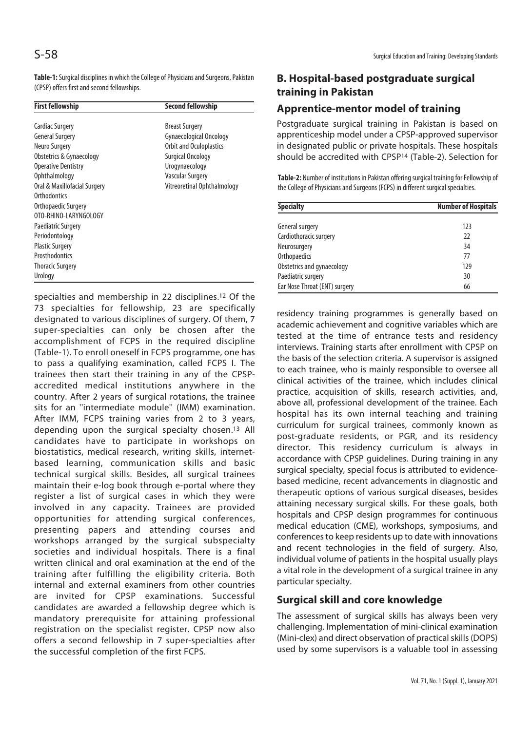**Table-1:** Surgical disciplines in which the College of Physicians and Surgeons, Pakistan (CPSP) offers first and second fellowships.

| <b>First fellowship</b>      | <b>Second fellowship</b>       |
|------------------------------|--------------------------------|
| Cardiac Surgery              | <b>Breast Surgery</b>          |
| <b>General Surgery</b>       | <b>Gynaecological Oncology</b> |
| Neuro Surgery                | Orbit and Oculoplastics        |
| Obstetrics & Gynaecology     | <b>Surgical Oncology</b>       |
| <b>Operative Dentistry</b>   | Urogynaecology                 |
| Ophthalmology                | <b>Vascular Surgery</b>        |
| Oral & Maxillofacial Surgery | Vitreoretinal Ophthalmology    |
| Orthodontics                 |                                |
| Orthopaedic Surgery          |                                |
| OTO-RHINO-LARYNGOLOGY        |                                |
| <b>Paediatric Surgery</b>    |                                |
| Periodontology               |                                |
| <b>Plastic Surgery</b>       |                                |
| Prosthodontics               |                                |
| Thoracic Surgery             |                                |
| Urology                      |                                |

specialties and membership in 22 disciplines.12 Of the 73 specialties for fellowship, 23 are specifically designated to various disciplines of surgery. Of them, 7 super-specialties can only be chosen after the accomplishment of FCPS in the required discipline (Table-1). To enroll oneself in FCPS programme, one has to pass a qualifying examination, called FCPS I. The trainees then start their training in any of the CPSPaccredited medical institutions anywhere in the country. After 2 years of surgical rotations, the trainee sits for an ''intermediate module'' (IMM) examination. After IMM, FCPS training varies from 2 to 3 years, depending upon the surgical specialty chosen.13 All candidates have to participate in workshops on biostatistics, medical research, writing skills, internetbased learning, communication skills and basic technical surgical skills. Besides, all surgical trainees maintain their e-log book through e-portal where they register a list of surgical cases in which they were involved in any capacity. Trainees are provided opportunities for attending surgical conferences, presenting papers and attending courses and workshops arranged by the surgical subspecialty societies and individual hospitals. There is a final written clinical and oral examination at the end of the training after fulfilling the eligibility criteria. Both internal and external examiners from other countries are invited for CPSP examinations. Successful candidates are awarded a fellowship degree which is mandatory prerequisite for attaining professional registration on the specialist register. CPSP now also offers a second fellowship in 7 super-specialties after the successful completion of the first FCPS.

## **B. Hospital-based postgraduate surgical training in Pakistan**

## **Apprentice-mentor model of training**

Postgraduate surgical training in Pakistan is based on apprenticeship model under a CPSP-approved supervisor in designated public or private hospitals. These hospitals should be accredited with CPSP14 (Table-2). Selection for

**Table-2:** Number of institutions in Pakistan offering surgical training for Fellowship of the College of Physicians and Surgeons (FCPS) in different surgical specialties.

| <b>Specialty</b>              | <b>Number of Hospitals</b> |
|-------------------------------|----------------------------|
|                               |                            |
| General surgery               | 123                        |
| Cardiothoracic surgery        | 22                         |
| Neurosurgery                  | 34                         |
| Orthopaedics                  | 77                         |
| Obstetrics and gynaecology    | 129                        |
| Paediatric surgery            | 30                         |
| Ear Nose Throat (ENT) surgery | 66                         |

residency training programmes is generally based on academic achievement and cognitive variables which are tested at the time of entrance tests and residency interviews. Training starts after enrollment with CPSP on the basis of the selection criteria. A supervisor is assigned to each trainee, who is mainly responsible to oversee all clinical activities of the trainee, which includes clinical practice, acquisition of skills, research activities, and, above all, professional development of the trainee. Each hospital has its own internal teaching and training curriculum for surgical trainees, commonly known as post-graduate residents, or PGR, and its residency director. This residency curriculum is always in accordance with CPSP guidelines. During training in any surgical specialty, special focus is attributed to evidencebased medicine, recent advancements in diagnostic and therapeutic options of various surgical diseases, besides attaining necessary surgical skills. For these goals, both hospitals and CPSP design programmes for continuous medical education (CME), workshops, symposiums, and conferences to keep residents up to date with innovations and recent technologies in the field of surgery. Also, individual volume of patients in the hospital usually plays a vital role in the development of a surgical trainee in any particular specialty.

## **Surgical skill and core knowledge**

The assessment of surgical skills has always been very challenging. Implementation of mini-clinical examination (Mini-clex) and direct observation of practical skills (DOPS) used by some supervisors is a valuable tool in assessing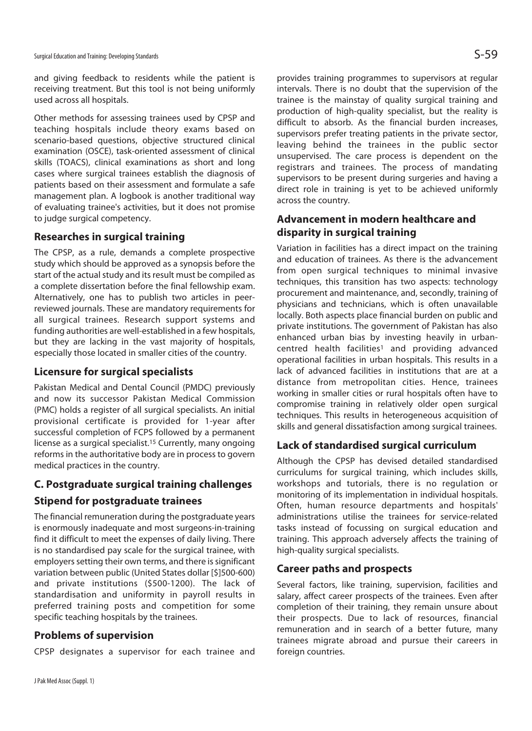and giving feedback to residents while the patient is receiving treatment. But this tool is not being uniformly used across all hospitals.

Other methods for assessing trainees used by CPSP and teaching hospitals include theory exams based on scenario-based questions, objective structured clinical examination (OSCE), task-oriented assessment of clinical skills (TOACS), clinical examinations as short and long cases where surgical trainees establish the diagnosis of patients based on their assessment and formulate a safe management plan. A logbook is another traditional way of evaluating trainee's activities, but it does not promise to judge surgical competency.

## **Researches in surgical training**

The CPSP, as a rule, demands a complete prospective study which should be approved as a synopsis before the start of the actual study and its result must be compiled as a complete dissertation before the final fellowship exam. Alternatively, one has to publish two articles in peerreviewed journals. These are mandatory requirements for all surgical trainees. Research support systems and funding authorities are well-established in a few hospitals, but they are lacking in the vast majority of hospitals, especially those located in smaller cities of the country.

## **Licensure for surgical specialists**

Pakistan Medical and Dental Council (PMDC) previously and now its successor Pakistan Medical Commission (PMC) holds a register of all surgical specialists. An initial provisional certificate is provided for 1-year after successful completion of FCPS followed by a permanent license as a surgical specialist.15 Currently, many ongoing reforms in the authoritative body are in process to govern medical practices in the country.

## **C. Postgraduate surgical training challenges**

## **Stipend for postgraduate trainees**

The financial remuneration during the postgraduate years is enormously inadequate and most surgeons-in-training find it difficult to meet the expenses of daily living. There is no standardised pay scale for the surgical trainee, with employers setting their own terms, and there is significant variation between public (United States dollar [\$]500-600) and private institutions (\$500-1200). The lack of standardisation and uniformity in payroll results in preferred training posts and competition for some specific teaching hospitals by the trainees.

## **Problems of supervision**

CPSP designates a supervisor for each trainee and

provides training programmes to supervisors at regular intervals. There is no doubt that the supervision of the trainee is the mainstay of quality surgical training and production of high-quality specialist, but the reality is difficult to absorb. As the financial burden increases, supervisors prefer treating patients in the private sector, leaving behind the trainees in the public sector unsupervised. The care process is dependent on the registrars and trainees. The process of mandating supervisors to be present during surgeries and having a direct role in training is yet to be achieved uniformly across the country.

## **Advancement in modern healthcare and disparity in surgical training**

Variation in facilities has a direct impact on the training and education of trainees. As there is the advancement from open surgical techniques to minimal invasive techniques, this transition has two aspects: technology procurement and maintenance, and, secondly, training of physicians and technicians, which is often unavailable locally. Both aspects place financial burden on public and private institutions. The government of Pakistan has also enhanced urban bias by investing heavily in urbancentred health facilities<sup>1</sup> and providing advanced operational facilities in urban hospitals. This results in a lack of advanced facilities in institutions that are at a distance from metropolitan cities. Hence, trainees working in smaller cities or rural hospitals often have to compromise training in relatively older open surgical techniques. This results in heterogeneous acquisition of skills and general dissatisfaction among surgical trainees.

## **Lack of standardised surgical curriculum**

Although the CPSP has devised detailed standardised curriculums for surgical training, which includes skills, workshops and tutorials, there is no regulation or monitoring of its implementation in individual hospitals. Often, human resource departments and hospitals' administrations utilise the trainees for service-related tasks instead of focussing on surgical education and training. This approach adversely affects the training of high-quality surgical specialists.

## **Career paths and prospects**

Several factors, like training, supervision, facilities and salary, affect career prospects of the trainees. Even after completion of their training, they remain unsure about their prospects. Due to lack of resources, financial remuneration and in search of a better future, many trainees migrate abroad and pursue their careers in foreign countries.